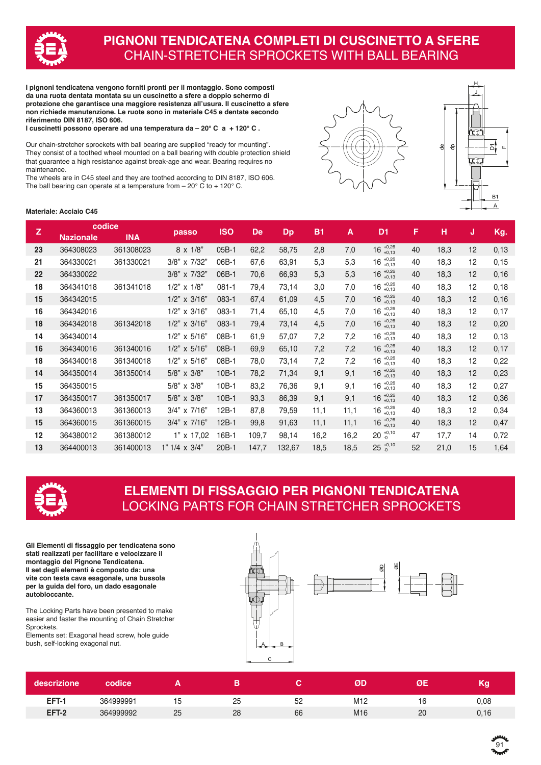

# **PIGNONI TENDICATENA COMPLETI DI CUSCINETTO A SFERE** CHAIN-STRETCHER SPROCKETS WITH BALL BEARING

**I pignoni tendicatena vengono forniti pronti per il montaggio. Sono composti da una ruota dentata montata su un cuscinetto a sfere a doppio schermo di protezione che garantisce una maggiore resistenza all'usura. Il cuscinetto a sfere non richiede manutenzione. Le ruote sono in materiale C45 e dentate secondo riferimento DIN 8187, ISO 606.**

**I cuscinetti possono operare ad una temperatura da – 20° C a + 120° C .**

Our chain-stretcher sprockets with ball bearing are supplied "ready for mounting". They consist of a toothed wheel mounted on a ball bearing with double protection shield that guarantee a high resistance against break-age and wear. Bearing requires no maintenance.

The wheels are in C45 steel and they are toothed according to DIN 8187, ISO 606. The ball bearing can operate at a temperature from  $-20^{\circ}$  C to  $+120^{\circ}$  C.





#### **Materiale: Acciaio C45**

| Z  |                  | codice     |                      | <b>ISO</b> | De    |           | <b>B1</b> | A    | D <sub>1</sub>       | F  | н    | J  |       |
|----|------------------|------------|----------------------|------------|-------|-----------|-----------|------|----------------------|----|------|----|-------|
|    | <b>Nazionale</b> | <b>INA</b> | passo                |            |       | <b>Dp</b> |           |      |                      |    |      |    | Kg.   |
| 23 | 364308023        | 361308023  | 8 x 1/8"             | 05B-1      | 62,2  | 58,75     | 2,8       | 7,0  | $16^{+0,26}_{+0,13}$ | 40 | 18,3 | 12 | 0,13  |
| 21 | 364330021        | 361330021  | 3/8" x 7/32"         | 06B-1      | 67,6  | 63,91     | 5,3       | 5,3  | $16^{+0,26}_{+0,13}$ | 40 | 18,3 | 12 | 0,15  |
| 22 | 364330022        |            | 3/8" x 7/32"         | 06B-1      | 70,6  | 66,93     | 5,3       | 5,3  | $16^{+0,26}_{+0,13}$ | 40 | 18,3 | 12 | 0, 16 |
| 18 | 364341018        | 361341018  | $1/2$ " x $1/8$ "    | $081 - 1$  | 79,4  | 73,14     | 3,0       | 7,0  | $16^{+0,26}_{+0,13}$ | 40 | 18,3 | 12 | 0,18  |
| 15 | 364342015        |            | $1/2$ " x $3/16$ "   | 083-1      | 67,4  | 61,09     | 4,5       | 7,0  | $16^{+0,26}_{+0,13}$ | 40 | 18,3 | 12 | 0, 16 |
| 16 | 364342016        |            | $1/2$ " x $3/16$ "   | 083-1      | 71,4  | 65,10     | 4,5       | 7,0  | $16^{+0,26}_{+0,13}$ | 40 | 18,3 | 12 | 0,17  |
| 18 | 364342018        | 361342018  | $1/2$ " x $3/16$ "   | $083 - 1$  | 79,4  | 73,14     | 4,5       | 7,0  | $16^{+0,26}_{+0,13}$ | 40 | 18,3 | 12 | 0,20  |
| 14 | 364340014        |            | $1/2$ " x $5/16$ "   | 08B-1      | 61,9  | 57,07     | 7,2       | 7,2  | $16^{+0,26}_{+0,13}$ | 40 | 18,3 | 12 | 0,13  |
| 16 | 364340016        | 361340016  | 1/2" x 5/16"         | 08B-1      | 69,9  | 65,10     | 7,2       | 7,2  | $16^{+0,26}_{+0,13}$ | 40 | 18,3 | 12 | 0,17  |
| 18 | 364340018        | 361340018  | $1/2$ " x 5/16"      | 08B-1      | 78,0  | 73,14     | 7,2       | 7,2  | $16^{+0,26}_{+0,13}$ | 40 | 18,3 | 12 | 0,22  |
| 14 | 364350014        | 361350014  | 5/8" x 3/8"          | 10B-1      | 78,2  | 71,34     | 9,1       | 9,1  | $16^{+0,26}_{+0,13}$ | 40 | 18,3 | 12 | 0,23  |
| 15 | 364350015        |            | 5/8"<br>x 3/8"       | 10B-1      | 83,2  | 76,36     | 9,1       | 9,1  | $16^{+0,26}_{+0,13}$ | 40 | 18,3 | 12 | 0,27  |
| 17 | 364350017        | 361350017  | 5/8" x 3/8"          | 10B-1      | 93,3  | 86,39     | 9,1       | 9,1  | $16^{+0,26}_{+0,13}$ | 40 | 18,3 | 12 | 0,36  |
| 13 | 364360013        | 361360013  | 3/4" x 7/16"         | 12B-1      | 87,8  | 79,59     | 11,1      | 11,1 | $16^{+0,26}_{+0,13}$ | 40 | 18,3 | 12 | 0,34  |
| 15 | 364360015        | 361360015  | $3/4$ " x $7/16$ "   | $12B-1$    | 99,8  | 91,63     | 11,1      | 11,1 | $16^{+0,26}_{+0,13}$ | 40 | 18,3 | 12 | 0,47  |
| 12 | 364380012        | 361380012  | $1"$ x $17,02$       | 16B-1      | 109,7 | 98,14     | 16,2      | 16,2 | $20^{+0,10}_{-0}$    | 47 | 17,7 | 14 | 0,72  |
| 13 | 364400013        | 361400013  | $1" 1/4 \times 3/4"$ | 20B-1      | 147,7 | 132,67    | 18,5      | 18,5 | $25^{+0,10}_{-0}$    | 52 | 21,0 | 15 | 1,64  |



### **ELEMENTI DI FISSAGGIO PER PIGNONI TENDICATENA** LOCKING PARTS FOR CHAIN STRETCHER SPROCKETS

**Gli Elementi di fissaggio per tendicatena sono stati realizzati per facilitare e velocizzare il montaggio del Pignone Tendicatena. Il set degli elementi è composto da: una vite con testa cava esagonale, una bussola per la guida del foro, un dado esagonale autobloccante.**

The Locking Parts have been presented to make easier and faster the mounting of Chain Stretcher **Sprockets** 

Elements set: Exagonal head screw, hole guide bush, self-locking exagonal nut.





| descrizione | codice'   |    |    |          | ØI              |    |                         |
|-------------|-----------|----|----|----------|-----------------|----|-------------------------|
| EFT-1       | 364999991 |    | 25 | ЕC<br>ےر | M12             | ັ  | 0.08                    |
| EFT-2       | 364999992 | 25 | 28 | 66       | M <sub>16</sub> | 20 | $\overline{A}$<br>V. 16 |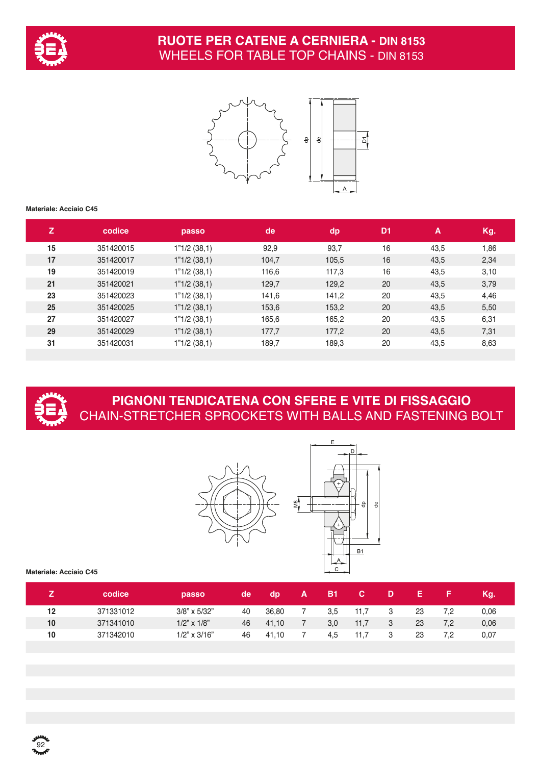

### **RUOTE PER CATENE A CERNIERA - DIN 8153** WHEELS FOR TABLE TOP CHAINS - DIN 8153



#### **Materiale: Acciaio C45**

| z  | codice    | passo       | de    | dp    | D <sub>1</sub> | A    | Kg.  |
|----|-----------|-------------|-------|-------|----------------|------|------|
| 15 | 351420015 | 1"1/2(38,1) | 92,9  | 93,7  | 16             | 43,5 | 1,86 |
| 17 | 351420017 | 1"1/2(38,1) | 104,7 | 105,5 | 16             | 43,5 | 2,34 |
| 19 | 351420019 | 1"1/2(38,1) | 116,6 | 117,3 | 16             | 43,5 | 3,10 |
| 21 | 351420021 | 1"1/2(38,1) | 129,7 | 129,2 | 20             | 43,5 | 3,79 |
| 23 | 351420023 | 1"1/2(38,1) | 141,6 | 141,2 | 20             | 43,5 | 4,46 |
| 25 | 351420025 | 1"1/2(38,1) | 153,6 | 153,2 | 20             | 43,5 | 5,50 |
| 27 | 351420027 | 1"1/2(38,1) | 165,6 | 165,2 | 20             | 43,5 | 6,31 |
| 29 | 351420029 | 1"1/2(38,1) | 177,7 | 177,2 | 20             | 43,5 | 7,31 |
| 31 | 351420031 | 1"1/2(38,1) | 189,7 | 189,3 | 20             | 43,5 | 8,63 |



# **PIGNONI TENDICATENA CON SFERE E VITE DI FISSAGGIO** CHAIN-STRETCHER SPROCKETS WITH BALLS AND FASTENING BOLT





#### **Materiale: Acciaio C45**

**92**<br>1924<br>1926

|    | codice    | passo              | de | dp    | 'B1 | <b>ZCZ</b> | D. |    |     | Kq.  |
|----|-----------|--------------------|----|-------|-----|------------|----|----|-----|------|
| 12 | 371331012 | $3/8$ " x $5/32$ " | 40 | 36.80 | 3.5 | 11.7       |    | 23 |     | 0,06 |
| 10 | 371341010 | $1/2$ " x $1/8$ "  | 46 | 41.10 | 3,0 | 11,7       | 3  | 23 | 7,2 | 0,06 |
| 10 | 371342010 | $1/2$ " x $3/16$ " | 46 | 41.10 | 4.5 | 11.7       |    | 23 |     | 0.07 |
|    |           |                    |    |       |     |            |    |    |     |      |